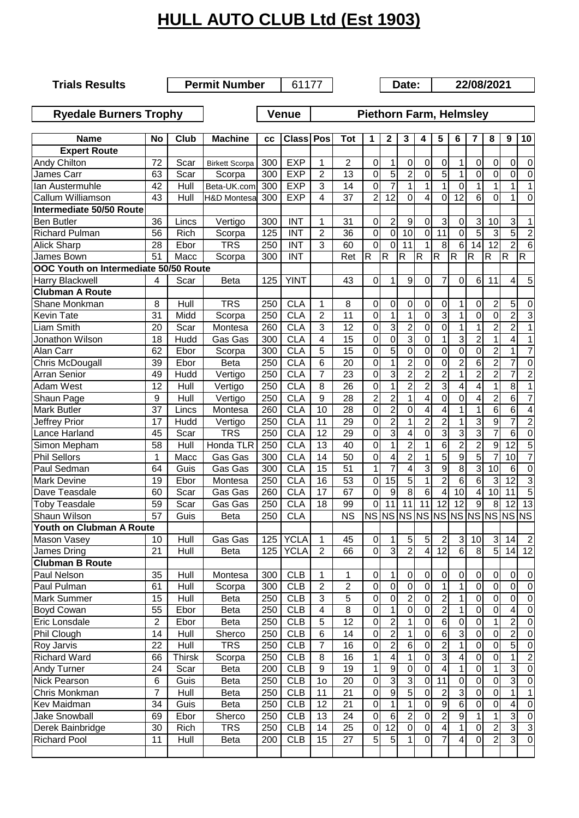## **HULL AUTO CLUB Ltd (Est 1903)**

**Trials Results**

**Permit Number** 61177 **Date:** 22/08/2021

**Ryedale Burners Trophy Venue Piethorn Farm, Helmsley** 

| <b>Name</b>                           | <b>No</b>       | Club          | <b>Machine</b>         | СC  | <b>Class Pos</b> |                 | <b>Tot</b>      | 1                      | $\mathbf{2}$            | 3                   | 4                | 5                | 6                      | 7                | 8                       | 9               | 10                      |
|---------------------------------------|-----------------|---------------|------------------------|-----|------------------|-----------------|-----------------|------------------------|-------------------------|---------------------|------------------|------------------|------------------------|------------------|-------------------------|-----------------|-------------------------|
| <b>Expert Route</b>                   |                 |               |                        |     |                  |                 |                 |                        |                         |                     |                  |                  |                        |                  |                         |                 |                         |
| <b>Andy Chilton</b>                   | 72              | Scar          | <b>Birkett Scorpa</b>  | 300 | <b>EXP</b>       | 1               | 2               | 0                      | 1                       | 0                   | 0                | 0                | 1                      | $\mathbf 0$      | 0                       | 0               | $\boldsymbol{0}$        |
| James Carr                            | 63              | Scar          | Scorpa                 | 300 | <b>EXP</b>       | 2               | 13              | 0                      | 5                       | $\overline{2}$      | 0                | 5                | 1                      | $\mathbf 0$      | 0                       | 0               | $\overline{0}$          |
| Ian Austermuhle                       | 42              | Hull          | Beta-UK.com            | 300 | <b>EXP</b>       | 3               | 14              | 0                      | $\overline{7}$          | $\mathbf{1}$        | 1                | 1                | $\Omega$               | 1                | $\mathbf{1}$            | 1               | $\mathbf{1}$            |
| Callum Williamson                     | 43              | Hull          | <b>H&amp;D Montesa</b> | 300 | <b>EXP</b>       | $\overline{4}$  | 37              | $\overline{c}$         | $\overline{12}$         | $\mathbf 0$         | 4                | $\mathbf 0$      | 12                     | 6                | O                       | 1               | $\overline{0}$          |
| Intermediate 50/50 Route              |                 |               |                        |     |                  |                 |                 |                        |                         |                     |                  |                  |                        |                  |                         |                 |                         |
| <b>Ben Butler</b>                     | 36              | Lincs         | Vertigo                | 300 | <b>INT</b>       | 1               | 31              | 0                      | $\overline{2}$          | $\boldsymbol{9}$    | $\mathbf 0$      | 3                | 0                      | 3                | 10                      | 3               | 1                       |
| <b>Richard Pulman</b>                 | 56              | Rich          | Scorpa                 | 125 | <b>INT</b>       | $\overline{2}$  | 36              | $\overline{0}$         | 0                       | $\overline{10}$     | $\mathbf 0$      | $\overline{11}$  | 0                      | $\overline{5}$   | 3                       | 5               | $\overline{2}$          |
| <b>Alick Sharp</b>                    | 28              | Ebor          | <b>TRS</b>             | 250 | <b>INT</b>       | 3               | 60              | $\overline{0}$         | $\mathbf 0$             | 11                  | 1                | 8                | $\overline{6}$         | 14               | $\overline{12}$         | $\overline{2}$  | $\overline{6}$          |
| James Bown                            | $\overline{51}$ | Macc          | Scorpa                 | 300 | <b>INT</b>       |                 | Ret             | $\mathsf R$            | $\mathsf R$             | K                   | $\overline{R}$   | $\overline{R}$   | $\overline{R}$         | R                | R                       | $\mathsf R$     | $\overline{R}$          |
| OOC Youth on Intermediate 50/50 Route |                 |               |                        |     |                  |                 |                 |                        |                         |                     |                  |                  |                        |                  |                         |                 |                         |
| Harry Blackwell                       | $\overline{4}$  | Scar          | <b>Beta</b>            | 125 | <b>YINT</b>      |                 | 43              | 0                      | 1                       | $\boldsymbol{9}$    | $\mathbf 0$      | 7                | $\Omega$               | 6                | 11                      | 4               | $\overline{5}$          |
| <b>Clubman A Route</b>                |                 |               |                        |     |                  |                 |                 |                        |                         |                     |                  |                  |                        |                  |                         |                 |                         |
| Shane Monkman                         | 8               | Hull          | <b>TRS</b>             | 250 | <b>CLA</b>       | 1               | 8               | 0                      | 0                       | 0                   | $\mathbf 0$      | 0                | 1                      | 0                | $\overline{c}$          | 5               | $\boldsymbol{0}$        |
| Kevin Tate                            | 31              | Midd          | Scorpa                 | 250 | <b>CLA</b>       | $\overline{2}$  | 11              | $\overline{0}$         | 1                       | $\mathbf{1}$        | $\mathbf 0$      | $\overline{3}$   | 1                      | $\mathbf 0$      | $\overline{0}$          | $\overline{2}$  | $\overline{3}$          |
| Liam Smith                            | 20              | Scar          | Montesa                | 260 | <b>CLA</b>       | 3               | 12              | 0                      | 3                       | $\overline{2}$      | $\mathbf 0$      | $\mathbf 0$      | $\mathbf{1}$           | 1                | $\overline{2}$          | $\overline{2}$  | $\overline{1}$          |
| Jonathon Wilson                       | 18              | Hudd          | Gas Gas                | 300 | <b>CLA</b>       | 4               | $\overline{15}$ | 0                      | 0                       | 3                   | $\mathbf 0$      | 1                | 3                      | $\overline{2}$   | $\mathbf{1}$            | 4               | $\overline{1}$          |
| Alan Carr                             | 62              | Ebor          | Scorpa                 | 300 | <b>CLA</b>       | 5               | 15              | 0                      | 5                       | $\mathbf 0$         | $\mathbf 0$      | $\mathbf 0$      | 0                      | $\mathbf 0$      | $\overline{2}$          | 1               | $\overline{7}$          |
| <b>Chris McDougall</b>                | 39              | Ebor          | Beta                   | 250 | <b>CLA</b>       | 6               | 20              | 0                      | 1                       | $\overline{2}$      | $\mathbf 0$      | $\mathbf 0$      | $\overline{c}$         | 6                | $\overline{2}$          | $\overline{7}$  | $\overline{0}$          |
| <b>Arran Senior</b>                   | 49              | Hudd          | Vertigo                | 250 | <b>CLA</b>       | $\overline{7}$  | 23              | $\overline{0}$         | 3                       | $\overline{2}$      | $\overline{2}$   | $\overline{2}$   | 1                      | $\overline{2}$   | $\overline{2}$          | 7               | $\overline{2}$          |
| <b>Adam West</b>                      | $\overline{12}$ | Hull          | Vertigo                | 250 | <b>CLA</b>       | 8               | 26              | 0                      | 1                       | $\overline{2}$      | $\overline{2}$   | $\overline{3}$   | 4                      | 4                | 1                       | $\overline{8}$  | $\overline{1}$          |
| Shaun Page                            | 9               | Hull          | Vertigo                | 250 | <b>CLA</b>       | 9               | 28              | $\overline{2}$         | $\overline{2}$          | $\overline{1}$      | 4                | 0                | 0                      | 4                | $\overline{c}$          | 6               | $\overline{7}$          |
| <b>Mark Butler</b>                    | 37              | Lincs         | Montesa                | 260 | <b>CLA</b>       | $\overline{10}$ | $\overline{28}$ | $\overline{0}$         | $\overline{2}$          | $\overline{0}$      | 4                | 4                | 1                      | 1                | $\overline{6}$          | $\overline{6}$  | $\overline{4}$          |
| Jeffrey Prior                         | 17              | Hudd          | Vertigo                | 250 | <b>CLA</b>       | 11              | $\overline{29}$ | $\overline{0}$         | $\overline{2}$          | $\overline{1}$      | $\overline{2}$   | $\overline{2}$   | 1                      | 3                | 9                       | 7               | $\overline{c}$          |
| <b>Lance Harland</b>                  | 45              | Scar          | <b>TRS</b>             | 250 | <b>CLA</b>       | 12              | 29              | 0                      | 3                       | 4                   | 0                | 3                | 3                      | 3                | 7                       | 6               | $\overline{0}$          |
| Simon Mepham                          | 58              | Hull          | Honda TLR              | 250 | <b>CLA</b>       | 13              | 40              | 0                      | 1                       | $\overline{2}$      | 1                | 6                | $\overline{2}$         | $\overline{2}$   | 9                       | 12              | $\overline{5}$          |
| <b>Phil Sellors</b>                   | 1               | Macc          | Gas Gas                | 300 | <b>CLA</b>       | 14              | 50              | 0                      | 4                       | $\overline{2}$      |                  | 5                | 9                      | $\overline{5}$   | 7                       | $\overline{10}$ | 7                       |
| Paul Sedman                           | 64              | Guis          | Gas Gas                | 300 | <b>CLA</b>       | 15              | 51              | 1                      | $\overline{7}$          | 4                   | 3                | 9                | 8                      | 3                | 10                      | 6               | $\mathbf 0$             |
| <b>Mark Devine</b>                    | 19              | Ebor          | Montesa                | 250 | <b>CLA</b>       | 16              | 53              | 0                      | $\overline{15}$         | 5                   | 1                | $\overline{2}$   | 6                      | 6                | 3                       | $\overline{12}$ | $\overline{3}$          |
| Dave Teasdale                         | 60              | Scar          | Gas Gas                | 260 | <b>CLA</b>       | 17              | 67              | 0                      | 9                       | $\overline{8}$      | $6\phantom{1}6$  | 4                | $\overline{10}$        | $\overline{4}$   | 10                      | 11              | $\overline{5}$          |
| <b>Toby Teasdale</b>                  | 59              | Scar          | Gas Gas                | 250 | <b>CLA</b>       | 18              | 99              | 0                      | 11                      | 11                  | 11               | 12               | 12                     | 9                | 8                       | 12              | $\overline{13}$         |
| Shaun Wilson                          | $\overline{57}$ | Guis          | <b>Beta</b>            | 250 | <b>CLA</b>       |                 | <b>NS</b>       | $\overline{\text{NS}}$ | N <sub>S</sub>          | <b>NS</b>           | <b>NS</b>        | <b>NS</b>        | $\overline{\text{NS}}$ | N <sub>S</sub>   | $\overline{\text{NS}}$  | NS              | <b>NS</b>               |
| Youth on Clubman A Route              |                 |               |                        |     |                  |                 |                 |                        |                         |                     |                  |                  |                        |                  |                         |                 |                         |
| Mason Vasey                           | 10              | Hull          | Gas Gas                | 125 | <b>YCLA</b>      | 1               | 45              | 0                      | 1                       | 5                   | 5                | $\overline{2}$   | 3                      | 10               | 3                       | 14              | $\overline{c}$          |
| James Dring                           | 21              | Hull          | <b>Beta</b>            | 125 | <b>YCLA</b>      | $\overline{2}$  | 66              | 0                      | ω                       | $\overline{2}$      | 4                | 12               | 6                      | 8                | 5                       | 14              | 12                      |
| <b>Clubman B Route</b>                |                 |               |                        |     |                  |                 |                 |                        |                         |                     |                  |                  |                        |                  |                         |                 |                         |
| Paul Nelson                           | 35              | Hull          | Montesa                | 300 | <b>CLB</b>       | 1               | 1               | 0                      | 1                       | $\pmb{0}$           | $\mathbf 0$      | $\pmb{0}$        | $\pmb{0}$              | $\pmb{0}$        | 0                       | 0               | $\pmb{0}$               |
| Paul Pulman                           | 61              | Hull          | Scorpa                 | 300 | <b>CLB</b>       | $\overline{2}$  | $\overline{2}$  | $\mathbf 0$            | 0                       | $\overline{0}$      | $\overline{0}$   | $\mathbf{1}$     | 1                      | $\overline{0}$   | $\pmb{0}$               | 0               | $\overline{0}$          |
| <b>Mark Summer</b>                    | 15              | Hull          | <b>Beta</b>            | 250 | <b>CLB</b>       | $\overline{3}$  | $\overline{5}$  | $\pmb{0}$              | 0                       | $\overline{2}$      | $\boldsymbol{0}$ | $\overline{2}$   | 1                      | $\mathbf 0$      | $\pmb{0}$               | 0               | $\overline{0}$          |
| <b>Boyd Cowan</b>                     | 55              | Ebor          | <b>Beta</b>            | 250 | CLB              | 4               | 8               | 0                      | 1                       | $\mathbf 0$         | 0                | $\overline{2}$   | 1                      | 0                | $\mathsf{O}\xspace$     | 4               | $\mathbf 0$             |
| Eric Lonsdale                         | $\sqrt{2}$      | Ebor          | <b>Beta</b>            | 250 | <b>CLB</b>       | 5               | 12              | $\pmb{0}$              | $\overline{\mathbf{c}}$ | $\mathbf{1}$        | $\boldsymbol{0}$ | 6                | 0                      | 0                | $\mathbf{1}$            | $\overline{c}$  | $\mathbf 0$             |
| Phil Clough                           | 14              | Hull          | Sherco                 | 250 | <b>CLB</b>       | 6               | 14              | $\pmb{0}$              | $\overline{c}$          | $\mathbf{1}$        | $\boldsymbol{0}$ | $\overline{6}$   | 3                      | $\boldsymbol{0}$ | $\pmb{0}$               | $\overline{c}$  | $\overline{0}$          |
| Roy Jarvis                            | 22              | Hull          | <b>TRS</b>             | 250 | <b>CLB</b>       | $\overline{7}$  | 16              | $\mathbf 0$            | 2                       | 6                   | 0                | $\boldsymbol{2}$ | 1                      | 0                | $\mathsf{O}\xspace$     | 5               | $\mathbf 0$             |
| <b>Richard Ward</b>                   | 66              | <b>Thirsk</b> | Scorpa                 | 250 | <b>CLB</b>       | 8               | 16              | 1                      | 4                       | $\mathbf 1$         | 0                | $\overline{3}$   | 4                      | $\boldsymbol{0}$ | $\overline{\mathsf{o}}$ | 1               | $\overline{2}$          |
| Andy Turner                           | 24              | Scar          | <b>Beta</b>            | 200 | <b>CLB</b>       | 9               | 19              | 1                      | 9                       | $\pmb{0}$           | $\pmb{0}$        | 4                | 1                      | $\boldsymbol{0}$ | 1                       | 3               | $\overline{\mathbf{o}}$ |
| <b>Nick Pearson</b>                   | 6               | Guis          | Beta                   | 250 | <b>CLB</b>       | 1 <sub>0</sub>  | 20              | $\mathbf 0$            | 3                       | $\overline{\omega}$ | $\pmb{0}$        | 11               | $\pmb{0}$              | $\boldsymbol{0}$ | $\mathsf{O}\xspace$     | 3               | $\mathbf 0$             |
| Chris Monkman                         | 7               | Hull          | <b>Beta</b>            | 250 | CLB              | 11              | 21              | $\overline{0}$         | 9                       | $\overline{5}$      | $\mathbf 0$      | $\overline{c}$   | 3                      | $\overline{0}$   | $\overline{0}$          | 1               | $\mathbf 1$             |
| Kev Maidman                           | 34              | Guis          | <b>Beta</b>            | 250 | CLB              | 12              | 21              | 0                      | 1                       | $\mathbf{1}$        | $\pmb{0}$        | 9                | 6                      | $\boldsymbol{0}$ | $\mathbf 0$             | 4               | $\mathbf 0$             |
| Jake Snowball                         | 69              | Ebor          | Sherco                 | 250 | <b>CLB</b>       | 13              | 24              | $\overline{0}$         | 6                       | $\overline{2}$      | $\pmb{0}$        | $\overline{2}$   | $\boldsymbol{9}$       | $\mathbf 1$      | $\mathbf{1}$            | 3               | $\mathbf 0$             |
| Derek Bainbridge                      | 30              | Rich          | <b>TRS</b>             | 250 | <b>CLB</b>       | 14              | 25              | $\overline{0}$         | 12                      | $\overline{0}$      | $\pmb{0}$        | 4                | 1                      | $\boldsymbol{0}$ | $\overline{2}$          | 3               | دن                      |
| <b>Richard Pool</b>                   | 11              | Hull          | <b>Beta</b>            | 200 | <b>CLB</b>       | 15              | 27              | $\overline{5}$         | 5                       | $\mathbf{1}$        | 0                | $\overline{7}$   | 4                      | $\mathbf 0$      | $\overline{2}$          | 3               | $\overline{0}$          |
|                                       |                 |               |                        |     |                  |                 |                 |                        |                         |                     |                  |                  |                        |                  |                         |                 |                         |
|                                       |                 |               |                        |     |                  |                 |                 |                        |                         |                     |                  |                  |                        |                  |                         |                 |                         |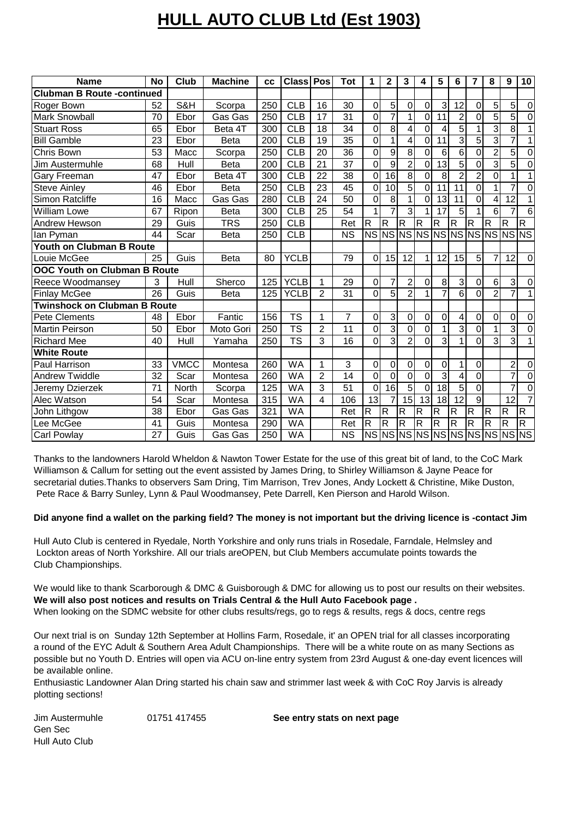## **HULL AUTO CLUB Ltd (Est 1903)**

| <b>Name</b>                         | <b>No</b>       | Club         | <b>Machine</b> | cc               | <b>Class Pos</b>       |                 | <b>Tot</b>      | 1                       | 2                       | 3              | 4              | 5                       | 6               | $\overline{7}$ | 8              | 9                                | 10             |
|-------------------------------------|-----------------|--------------|----------------|------------------|------------------------|-----------------|-----------------|-------------------------|-------------------------|----------------|----------------|-------------------------|-----------------|----------------|----------------|----------------------------------|----------------|
| <b>Clubman B Route-continued</b>    |                 |              |                |                  |                        |                 |                 |                         |                         |                |                |                         |                 |                |                |                                  |                |
| Roger Bown                          | 52              | S&H          | Scorpa         | 250              | CLB                    | 16              | 30              | 0                       | 5                       | 0              | 0              | 3                       | 12              | 0              | 5              | 5                                | $\pmb{0}$      |
| <b>Mark Snowball</b>                | 70              | Ebor         | Gas Gas        | $\overline{250}$ | $\overline{CLB}$       | 17              | $\overline{31}$ | 0                       | $\overline{7}$          | 1              | 0              | 11                      | $\overline{2}$  | $\overline{0}$ | $\overline{5}$ | 5                                | $\overline{0}$ |
| <b>Stuart Ross</b>                  | 65              | Ebor         | Beta 4T        | 300              | <b>CLB</b>             | 18              | 34              | 0                       | 8                       | 4              | 0              | 4                       | 5               | 1              | 3              | 8                                | $\mathbf{1}$   |
| <b>Bill Gamble</b>                  | 23              | Ebor         | <b>Beta</b>    | 200              | $\overline{CLB}$       | 19              | 35              | 0                       | 1                       | 4              | 0              | 11                      | 3               | $\overline{5}$ | 3              | $\overline{7}$                   | $\mathbf{1}$   |
| Chris Bown                          | 53              | Macc         | Scorpa         | 250              | <b>CLB</b>             | 20              | 36              | 0                       | 9                       | 8              | 0              | 6                       | 6               | 0              | 2              | 5                                | $\overline{0}$ |
| Jim Austermuhle                     | 68              | Hull         | <b>Beta</b>    | 200              | <b>CLB</b>             | 21              | 37              | 0                       | 9                       | $\overline{2}$ | $\mathbf 0$    | 13                      | 5               | $\overline{0}$ | 3              | 5                                | $\mathbf 0$    |
| Gary Freeman                        | 47              | Ebor         | Beta 4T        | 300              | <b>CLB</b>             | 22              | 38              | 0                       | 16                      | $\overline{8}$ | 0              | 8                       | $\overline{2}$  | $\overline{2}$ | 0              | 1                                | 1              |
| <b>Steve Ainley</b>                 | 46              | Ebor         | <b>Beta</b>    | 250              | <b>CLB</b>             | 23              | 45              | 0                       | 10                      | $\overline{5}$ | $\overline{0}$ | 11                      | 11              | $\overline{0}$ | 1              | 7                                | 0              |
| <b>Simon Ratcliffe</b>              | 16              | Macc         | Gas Gas        | 280              | $\overline{CLB}$       | 24              | 50              | 0                       | 8                       | 1              | 0              | 13                      | 11              | $\Omega$       | 4              | 12                               |                |
| <b>William Lowe</b>                 | 67              | Ripon        | <b>Beta</b>    | 300              | $\overline{CLB}$       | $\overline{25}$ | 54              |                         |                         | 3              |                | 17                      | 5               |                | 6              |                                  | 6              |
| Andrew Hewson                       | 29              | Guis         | <b>TRS</b>     | 250              | CLB                    |                 | Ret             | $\overline{R}$          | $\overline{\mathbf{R}}$ | $\overline{R}$ | $\overline{R}$ | $\overline{\mathbf{R}}$ | R               | $\overline{R}$ | $\overline{R}$ | $\mathsf{R}$                     | $\overline{R}$ |
| lan Pvman                           | 44              | Scar         | <b>Beta</b>    | 250              | <b>CLB</b>             |                 | <b>NS</b>       |                         |                         |                |                |                         |                 |                |                | NS NS NS NS NS NS NS NS NS NS NS |                |
| Youth on Clubman B Route            |                 |              |                |                  |                        |                 |                 |                         |                         |                |                |                         |                 |                |                |                                  |                |
| Louie McGee                         | 25              | Guis         | <b>Beta</b>    | 80               | <b>YCLB</b>            |                 | 79              | 0                       | 15                      | 12             | 1              | 12                      | 15              | 5              |                | 12                               | $\mathbf 0$    |
| <b>OOC Youth on Clubman B Route</b> |                 |              |                |                  |                        |                 |                 |                         |                         |                |                |                         |                 |                |                |                                  |                |
| Reece Woodmansey                    | 3               | Hull         | Sherco         | 125              | <b>YCLB</b>            | 1               | 29              | 0                       | 7                       | 2              | 0              | 8                       | 3               | 0              | 6              | 3                                | $\pmb{0}$      |
| <b>Finlay McGee</b>                 | $\overline{26}$ | Guis         | <b>Beta</b>    | 125              | <b>YCLB</b>            | $\overline{2}$  | $\overline{31}$ | Ō                       | 5                       | $\overline{2}$ | 1              | $\overline{7}$          | 6               | $\mathbf 0$    | $\overline{2}$ | $\overline{7}$                   | 1              |
| <b>Twinshock on Clubman B Route</b> |                 |              |                |                  |                        |                 |                 |                         |                         |                |                |                         |                 |                |                |                                  |                |
| <b>Pete Clements</b>                | 48              | Ebor         | Fantic         | 156              | $\overline{\text{TS}}$ | 1               | $\overline{7}$  | 0                       | $\overline{3}$          | $\mathbf 0$    | 0              | 0                       | 4               | $\mathbf 0$    | 0              | 0                                | $\pmb{0}$      |
| <b>Martin Peirson</b>               | 50              | Ebor         | Moto Gori      | 250              | <b>TS</b>              | 2               | 11              | 0                       | 3                       | $\mathbf 0$    | $\mathbf 0$    | 1                       | 3               | $\mathbf 0$    |                | $\overline{3}$                   | $\overline{0}$ |
| <b>Richard Mee</b>                  | 40              | Hull         | Yamaha         | 250              | <b>TS</b>              | 3               | 16              | 0                       | 3                       | $\overline{2}$ | 0              | 3                       |                 | $\Omega$       | 3              | 3                                | $\mathbf{1}$   |
| <b>White Route</b>                  |                 |              |                |                  |                        |                 |                 |                         |                         |                |                |                         |                 |                |                |                                  |                |
| Paul Harrison                       | 33              | <b>VMCC</b>  | Montesa        | 260              | <b>WA</b>              | 1               | 3               | 0                       | 0                       | 0              | 0              | 0                       |                 | 0              |                | $\overline{2}$                   | 0              |
| <b>Andrew Twiddle</b>               | 32              | Scar         | Montesa        | 260              | <b>WA</b>              | $\overline{2}$  | 14              | $\overline{0}$          | $\mathbf{0}$            | $\overline{0}$ | $\mathbf{0}$   | $\overline{3}$          | 4               | $\mathbf 0$    |                | $\overline{7}$                   | $\overline{0}$ |
| Jeremy Dzierzek                     | 71              | <b>North</b> | Scorpa         | 125              | <b>WA</b>              | 3               | 51              | $\Omega$                | $\overline{16}$         | 5              | $\Omega$       | 18                      | 5               | $\overline{0}$ |                | 7                                | $\overline{0}$ |
| Alec Watson                         | 54              | Scar         | Montesa        | 315              | <b>WA</b>              | $\overline{4}$  | 106             | 13                      | $\overline{7}$          | 15             | 13             | 18                      | $\overline{12}$ | 9              |                | $\overline{12}$                  | $\overline{7}$ |
| John Lithgow                        | 38              | Ebor         | Gas Gas        | 321              | <b>WA</b>              |                 | Ret             | $\overline{\mathsf{R}}$ | $\mathsf{R}$            | $\overline{R}$ | $\overline{R}$ | $\overline{R}$          | $\overline{R}$  | R              | $\mathsf{R}$   | $\overline{\mathsf{R}}$          | $\overline{R}$ |
| Lee McGee                           | 41              | Guis         | Montesa        | 290              | <b>WA</b>              |                 | Ret             | R                       | R                       | R              | $\mathsf{R}$   | R                       | R               | R              | R              | R                                | $\mathsf{R}$   |
| <b>Carl Powlay</b>                  | 27              | Guis         | Gas Gas        | 250              | <b>WA</b>              |                 | <b>NS</b>       |                         |                         |                |                |                         |                 |                |                | NS NS NS NS NS NS NS NS NS NS    |                |

Thanks to the landowners Harold Wheldon & Nawton Tower Estate for the use of this great bit of land, to the CoC Mark Williamson & Callum for setting out the event assisted by James Dring, to Shirley Williamson & Jayne Peace for secretarial duties.Thanks to observers Sam Dring, Tim Marrison, Trev Jones, Andy Lockett & Christine, Mike Duston, Pete Race & Barry Sunley, Lynn & Paul Woodmansey, Pete Darrell, Ken Pierson and Harold Wilson.

## **Did anyone find a wallet on the parking field? The money is not important but the driving licence is -contact Jim**

Hull Auto Club is centered in Ryedale, North Yorkshire and only runs trials in Rosedale, Farndale, Helmsley and Lockton areas of North Yorkshire. All our trials areOPEN, but Club Members accumulate points towards the Club Championships.

We would like to thank Scarborough & DMC & Guisborough & DMC for allowing us to post our results on their websites. **We will also post notices and results on Trials Central & the Hull Auto Facebook page .** When looking on the SDMC website for other clubs results/regs, go to regs & results, regs & docs, centre regs

Our next trial is on Sunday 12th September at Hollins Farm, Rosedale, it' an OPEN trial for all classes incorporating a round of the EYC Adult & Southern Area Adult Championships. There will be a white route on as many Sections as possible but no Youth D. Entries will open via ACU on-line entry system from 23rd August & one-day event licences will be available online.

Enthusiastic Landowner Alan Dring started his chain saw and strimmer last week & with CoC Roy Jarvis is already plotting sections!

Jim Austermuhle 01751 417455 Gen Sec Hull Auto Club

**See entry stats on next page**